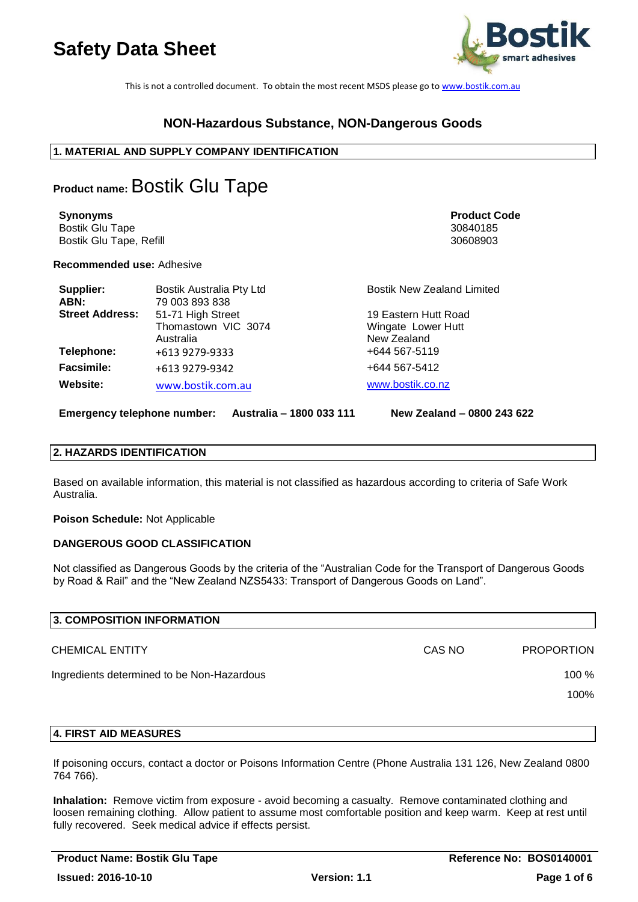

This is not a controlled document. To obtain the most recent MSDS please go t[o www.bostik.com.au](http://www.bostik.com.au/)

## **NON-Hazardous Substance, NON-Dangerous Goods**

### **1. MATERIAL AND SUPPLY COMPANY IDENTIFICATION**

# **Product name:** Bostik Glu Tape

**Synonyms Product Code** Bostik Glu Tape 30840185 Bostik Glu Tape, Refill 30608903

**Recommended use:** Adhesive

| Supplier:<br>ABN:      | Bostik Australia Pty Ltd<br>79 003 893 838 | <b>Bostik New Zealand Limited</b> |
|------------------------|--------------------------------------------|-----------------------------------|
| <b>Street Address:</b> | 51-71 High Street                          | 19 Eastern Hutt Road              |
|                        | Thomastown VIC 3074                        | Wingate Lower Hutt                |
|                        | Australia                                  | New Zealand                       |
| Telephone:             | +613 9279-9333                             | +644 567-5119                     |
| <b>Facsimile:</b>      | +613 9279-9342                             | +644 567-5412                     |
| Website:               | www.bostik.com.au                          | www.bostik.co.nz                  |

**Emergency telephone number: Australia – 1800 033 111 New Zealand – 0800 243 622**

## **2. HAZARDS IDENTIFICATION**

Based on available information, this material is not classified as hazardous according to criteria of Safe Work Australia.

**Poison Schedule:** Not Applicable

### **DANGEROUS GOOD CLASSIFICATION**

Not classified as Dangerous Goods by the criteria of the "Australian Code for the Transport of Dangerous Goods by Road & Rail" and the "New Zealand NZS5433: Transport of Dangerous Goods on Land".

| 3. COMPOSITION INFORMATION                 |        |                   |
|--------------------------------------------|--------|-------------------|
| <b>CHEMICAL ENTITY</b>                     | CAS NO | <b>PROPORTION</b> |
| Ingredients determined to be Non-Hazardous |        |                   |
|                                            |        | 100%              |
|                                            |        |                   |

### **4. FIRST AID MEASURES**

If poisoning occurs, contact a doctor or Poisons Information Centre (Phone Australia 131 126, New Zealand 0800 764 766).

**Inhalation:** Remove victim from exposure - avoid becoming a casualty. Remove contaminated clothing and loosen remaining clothing. Allow patient to assume most comfortable position and keep warm. Keep at rest until fully recovered. Seek medical advice if effects persist.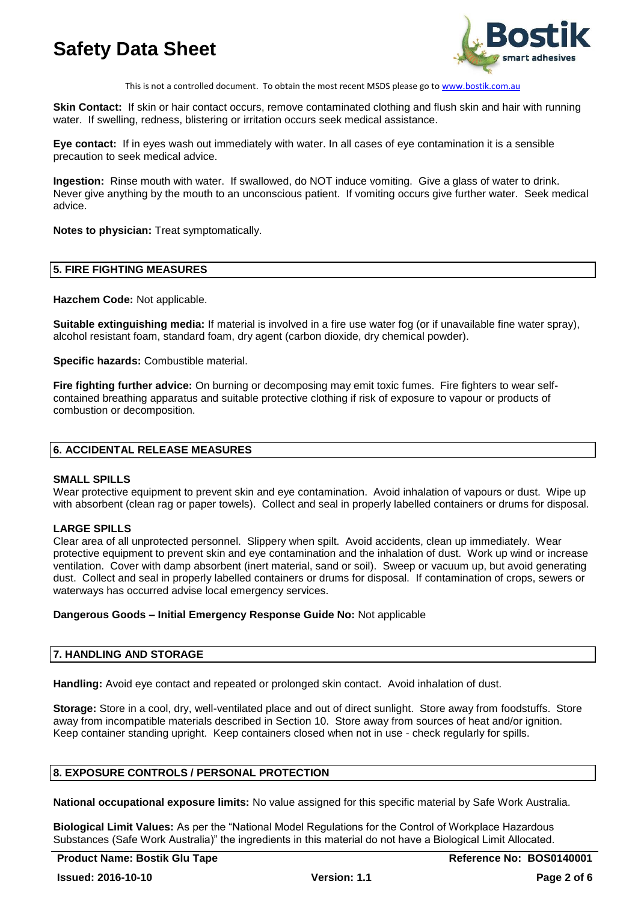

This is not a controlled document. To obtain the most recent MSDS please go t[o www.bostik.com.au](http://www.bostik.com.au/)

**Skin Contact:** If skin or hair contact occurs, remove contaminated clothing and flush skin and hair with running water. If swelling, redness, blistering or irritation occurs seek medical assistance.

**Eye contact:** If in eyes wash out immediately with water. In all cases of eye contamination it is a sensible precaution to seek medical advice.

**Ingestion:** Rinse mouth with water. If swallowed, do NOT induce vomiting. Give a glass of water to drink. Never give anything by the mouth to an unconscious patient. If vomiting occurs give further water. Seek medical advice.

**Notes to physician:** Treat symptomatically.

### **5. FIRE FIGHTING MEASURES**

**Hazchem Code:** Not applicable.

**Suitable extinguishing media:** If material is involved in a fire use water fog (or if unavailable fine water spray), alcohol resistant foam, standard foam, dry agent (carbon dioxide, dry chemical powder).

**Specific hazards:** Combustible material.

**Fire fighting further advice:** On burning or decomposing may emit toxic fumes. Fire fighters to wear selfcontained breathing apparatus and suitable protective clothing if risk of exposure to vapour or products of combustion or decomposition.

#### **6. ACCIDENTAL RELEASE MEASURES**

### **SMALL SPILLS**

Wear protective equipment to prevent skin and eye contamination. Avoid inhalation of vapours or dust. Wipe up with absorbent (clean rag or paper towels). Collect and seal in properly labelled containers or drums for disposal.

### **LARGE SPILLS**

Clear area of all unprotected personnel. Slippery when spilt. Avoid accidents, clean up immediately. Wear protective equipment to prevent skin and eye contamination and the inhalation of dust. Work up wind or increase ventilation. Cover with damp absorbent (inert material, sand or soil). Sweep or vacuum up, but avoid generating dust. Collect and seal in properly labelled containers or drums for disposal. If contamination of crops, sewers or waterways has occurred advise local emergency services.

### **Dangerous Goods – Initial Emergency Response Guide No:** Not applicable

### **7. HANDLING AND STORAGE**

**Handling:** Avoid eye contact and repeated or prolonged skin contact. Avoid inhalation of dust.

**Storage:** Store in a cool, dry, well-ventilated place and out of direct sunlight. Store away from foodstuffs. Store away from incompatible materials described in Section 10. Store away from sources of heat and/or ignition. Keep container standing upright. Keep containers closed when not in use - check regularly for spills.

### **8. EXPOSURE CONTROLS / PERSONAL PROTECTION**

**National occupational exposure limits:** No value assigned for this specific material by Safe Work Australia.

**Biological Limit Values:** As per the "National Model Regulations for the Control of Workplace Hazardous Substances (Safe Work Australia)" the ingredients in this material do not have a Biological Limit Allocated.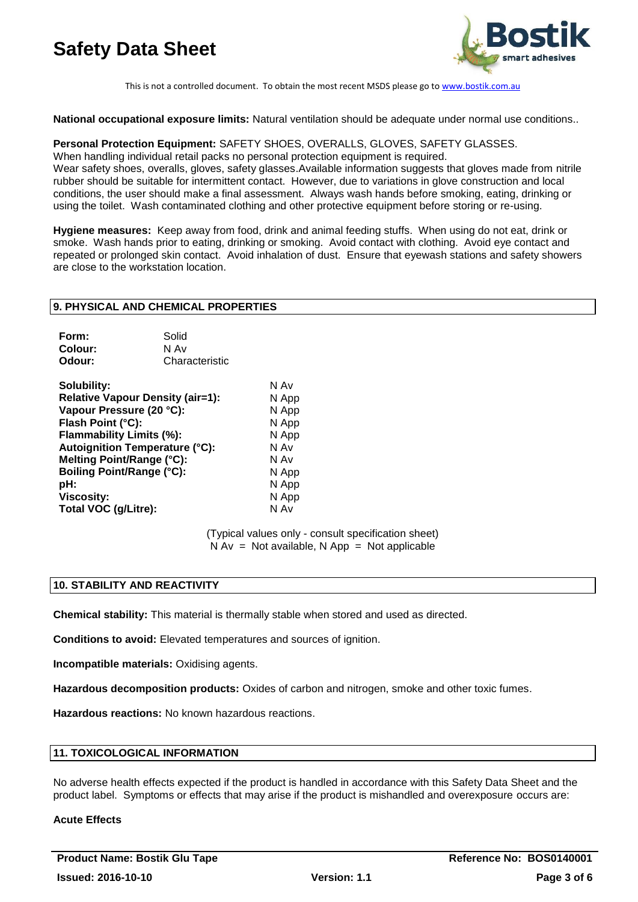

This is not a controlled document. To obtain the most recent MSDS please go t[o www.bostik.com.au](http://www.bostik.com.au/)

**National occupational exposure limits:** Natural ventilation should be adequate under normal use conditions..

**Personal Protection Equipment:** SAFETY SHOES, OVERALLS, GLOVES, SAFETY GLASSES.

When handling individual retail packs no personal protection equipment is required.

Wear safety shoes, overalls, gloves, safety glasses.Available information suggests that gloves made from nitrile rubber should be suitable for intermittent contact. However, due to variations in glove construction and local conditions, the user should make a final assessment. Always wash hands before smoking, eating, drinking or using the toilet. Wash contaminated clothing and other protective equipment before storing or re-using.

**Hygiene measures:** Keep away from food, drink and animal feeding stuffs. When using do not eat, drink or smoke. Wash hands prior to eating, drinking or smoking. Avoid contact with clothing. Avoid eye contact and repeated or prolonged skin contact. Avoid inhalation of dust. Ensure that eyewash stations and safety showers are close to the workstation location.

### **9. PHYSICAL AND CHEMICAL PROPERTIES**

| Form:   | Solid          |
|---------|----------------|
| Colour: | N Av           |
| Odour:  | Characteristic |

| Solubility:                             | N Av  |
|-----------------------------------------|-------|
| <b>Relative Vapour Density (air=1):</b> | N App |
| Vapour Pressure (20 °C):                | N App |
| Flash Point (°C):                       | N App |
| Flammability Limits (%):                | N App |
| <b>Autoignition Temperature (°C):</b>   | N Av  |
| Melting Point/Range (°C):               | N Av  |
| <b>Boiling Point/Range (°C):</b>        | N App |
| pH:                                     | N App |
| <b>Viscosity:</b>                       | N App |
| Total VOC (g/Litre):                    | N Av  |

(Typical values only - consult specification sheet)  $N Av = Not available$ . N App = Not applicable

### **10. STABILITY AND REACTIVITY**

**Chemical stability:** This material is thermally stable when stored and used as directed.

**Conditions to avoid:** Elevated temperatures and sources of ignition.

**Incompatible materials:** Oxidising agents.

**Hazardous decomposition products:** Oxides of carbon and nitrogen, smoke and other toxic fumes.

**Hazardous reactions:** No known hazardous reactions.

### **11. TOXICOLOGICAL INFORMATION**

No adverse health effects expected if the product is handled in accordance with this Safety Data Sheet and the product label. Symptoms or effects that may arise if the product is mishandled and overexposure occurs are:

### **Acute Effects**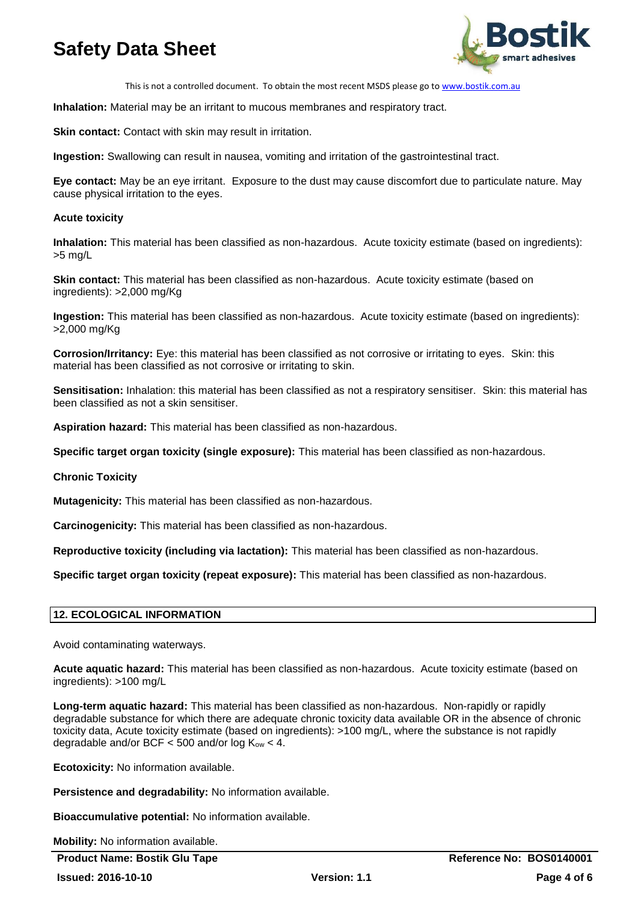

This is not a controlled document. To obtain the most recent MSDS please go t[o www.bostik.com.au](http://www.bostik.com.au/)

**Inhalation:** Material may be an irritant to mucous membranes and respiratory tract.

**Skin contact:** Contact with skin may result in irritation.

**Ingestion:** Swallowing can result in nausea, vomiting and irritation of the gastrointestinal tract.

**Eye contact:** May be an eye irritant. Exposure to the dust may cause discomfort due to particulate nature. May cause physical irritation to the eyes.

### **Acute toxicity**

**Inhalation:** This material has been classified as non-hazardous. Acute toxicity estimate (based on ingredients): >5 mg/L

**Skin contact:** This material has been classified as non-hazardous. Acute toxicity estimate (based on ingredients): >2,000 mg/Kg

**Ingestion:** This material has been classified as non-hazardous. Acute toxicity estimate (based on ingredients): >2,000 mg/Kg

**Corrosion/Irritancy:** Eye: this material has been classified as not corrosive or irritating to eyes. Skin: this material has been classified as not corrosive or irritating to skin.

**Sensitisation:** Inhalation: this material has been classified as not a respiratory sensitiser. Skin: this material has been classified as not a skin sensitiser.

**Aspiration hazard:** This material has been classified as non-hazardous.

**Specific target organ toxicity (single exposure):** This material has been classified as non-hazardous.

### **Chronic Toxicity**

**Mutagenicity:** This material has been classified as non-hazardous.

**Carcinogenicity:** This material has been classified as non-hazardous.

**Reproductive toxicity (including via lactation):** This material has been classified as non-hazardous.

**Specific target organ toxicity (repeat exposure):** This material has been classified as non-hazardous.

### **12. ECOLOGICAL INFORMATION**

Avoid contaminating waterways.

**Acute aquatic hazard:** This material has been classified as non-hazardous. Acute toxicity estimate (based on ingredients): >100 mg/L

**Long-term aquatic hazard:** This material has been classified as non-hazardous. Non-rapidly or rapidly degradable substance for which there are adequate chronic toxicity data available OR in the absence of chronic toxicity data, Acute toxicity estimate (based on ingredients): >100 mg/L, where the substance is not rapidly degradable and/or BCF  $<$  500 and/or log K<sub>ow</sub>  $<$  4.

**Ecotoxicity:** No information available.

**Persistence and degradability:** No information available.

**Bioaccumulative potential:** No information available.

**Mobility:** No information available.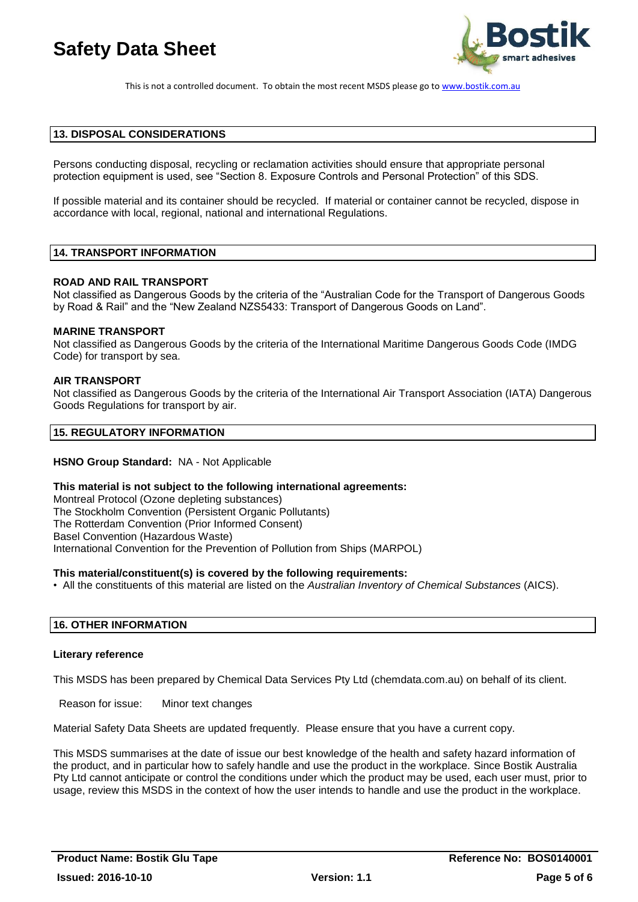

This is not a controlled document. To obtain the most recent MSDS please go t[o www.bostik.com.au](http://www.bostik.com.au/)

### **13. DISPOSAL CONSIDERATIONS**

Persons conducting disposal, recycling or reclamation activities should ensure that appropriate personal protection equipment is used, see "Section 8. Exposure Controls and Personal Protection" of this SDS.

If possible material and its container should be recycled. If material or container cannot be recycled, dispose in accordance with local, regional, national and international Regulations.

### **14. TRANSPORT INFORMATION**

#### **ROAD AND RAIL TRANSPORT**

Not classified as Dangerous Goods by the criteria of the "Australian Code for the Transport of Dangerous Goods by Road & Rail" and the "New Zealand NZS5433: Transport of Dangerous Goods on Land".

#### **MARINE TRANSPORT**

Not classified as Dangerous Goods by the criteria of the International Maritime Dangerous Goods Code (IMDG Code) for transport by sea.

#### **AIR TRANSPORT**

Not classified as Dangerous Goods by the criteria of the International Air Transport Association (IATA) Dangerous Goods Regulations for transport by air.

### **15. REGULATORY INFORMATION**

### **HSNO Group Standard:** NA - Not Applicable

#### **This material is not subject to the following international agreements:**

Montreal Protocol (Ozone depleting substances) The Stockholm Convention (Persistent Organic Pollutants) The Rotterdam Convention (Prior Informed Consent) Basel Convention (Hazardous Waste) International Convention for the Prevention of Pollution from Ships (MARPOL)

#### **This material/constituent(s) is covered by the following requirements:**

• All the constituents of this material are listed on the *Australian Inventory of Chemical Substances* (AICS).

### **16. OTHER INFORMATION**

#### **Literary reference**

This MSDS has been prepared by Chemical Data Services Pty Ltd (chemdata.com.au) on behalf of its client.

Reason for issue: Minor text changes

Material Safety Data Sheets are updated frequently. Please ensure that you have a current copy.

This MSDS summarises at the date of issue our best knowledge of the health and safety hazard information of the product, and in particular how to safely handle and use the product in the workplace. Since Bostik Australia Pty Ltd cannot anticipate or control the conditions under which the product may be used, each user must, prior to usage, review this MSDS in the context of how the user intends to handle and use the product in the workplace.